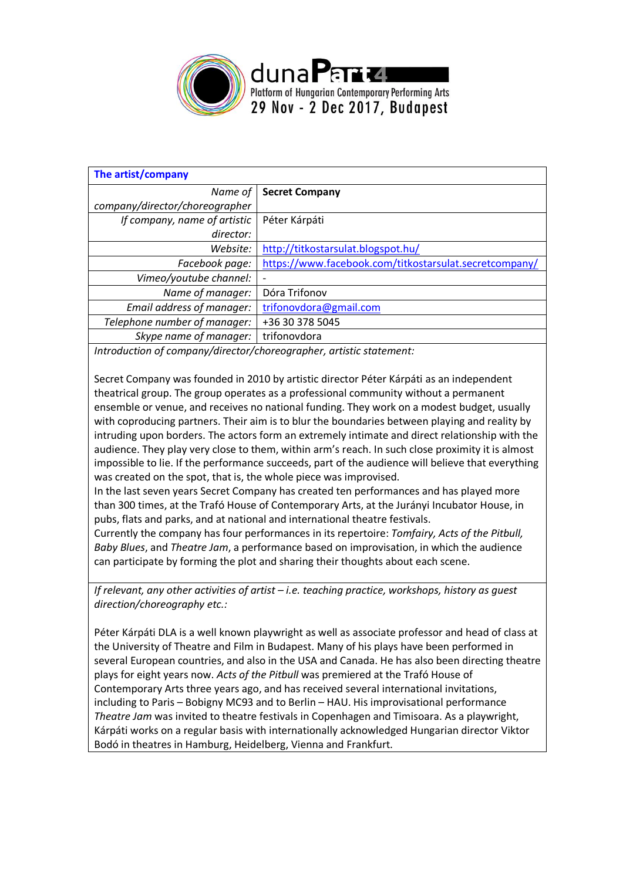

| <b>Secret Company</b>                                  |
|--------------------------------------------------------|
|                                                        |
| Péter Kárpáti                                          |
|                                                        |
| http://titkostarsulat.blogspot.hu/                     |
| https://www.facebook.com/titkostarsulat.secretcompany/ |
|                                                        |
| Dóra Trifonov                                          |
| trifonovdora@gmail.com                                 |
| +36 30 378 5045                                        |
| trifonovdora                                           |
|                                                        |

*Introduction of company/director/choreographer, artistic statement:*

Secret Company was founded in 2010 by artistic director Péter Kárpáti as an independent theatrical group. The group operates as a professional community without a permanent ensemble or venue, and receives no national funding. They work on a modest budget, usually with coproducing partners. Their aim is to blur the boundaries between playing and reality by intruding upon borders. The actors form an extremely intimate and direct relationship with the audience. They play very close to them, within arm's reach. In such close proximity it is almost impossible to lie. If the performance succeeds, part of the audience will believe that everything was created on the spot, that is, the whole piece was improvised.

In the last seven years Secret Company has created ten performances and has played more than 300 times, at the Trafó House of Contemporary Arts, at the Jurányi Incubator House, in pubs, flats and parks, and at national and international theatre festivals.

Currently the company has four performances in its repertoire: *Tomfairy, Acts of the Pitbull, Baby Blues*, and *Theatre Jam*, a performance based on improvisation, in which the audience can participate by forming the plot and sharing their thoughts about each scene.

*If relevant, any other activities of artist – i.e. teaching practice, workshops, history as guest direction/choreography etc.:*

Péter Kárpáti DLA is a well known playwright as well as associate professor and head of class at the University of Theatre and Film in Budapest. Many of his plays have been performed in several European countries, and also in the USA and Canada. He has also been directing theatre plays for eight years now. *Acts of the Pitbull* was premiered at the Trafó House of Contemporary Arts three years ago, and has received several international invitations, including to Paris – Bobigny MC93 and to Berlin – HAU. His improvisational performance *Theatre Jam* was invited to theatre festivals in Copenhagen and Timisoara. As a playwright, Kárpáti works on a regular basis with internationally acknowledged Hungarian director Viktor Bodó in theatres in Hamburg, Heidelberg, Vienna and Frankfurt.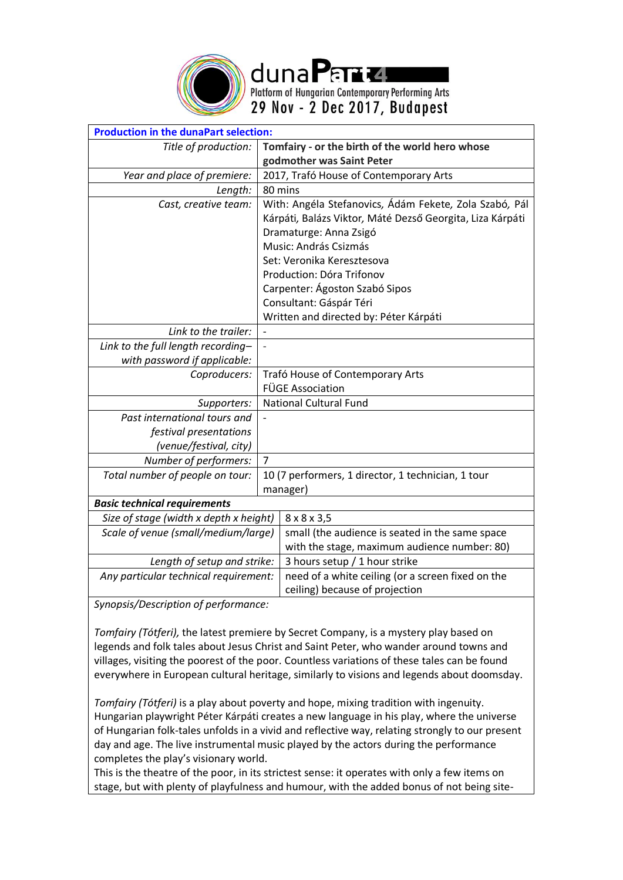

dunaPart4 Platform of Hungarian Contemporary Performing Arts

29 Nov - 2 Dec 2017, Budapest

| <b>Production in the dunaPart selection:</b> |   |                                                                                                                                                                        |  |
|----------------------------------------------|---|------------------------------------------------------------------------------------------------------------------------------------------------------------------------|--|
| Title of production:                         |   | Tomfairy - or the birth of the world hero whose                                                                                                                        |  |
|                                              |   | godmother was Saint Peter                                                                                                                                              |  |
| Year and place of premiere:                  |   | 2017, Trafó House of Contemporary Arts                                                                                                                                 |  |
| Length:                                      |   | 80 mins                                                                                                                                                                |  |
| Cast, creative team:                         |   | With: Angéla Stefanovics, Ádám Fekete, Zola Szabó, Pál<br>Kárpáti, Balázs Viktor, Máté Dezső Georgita, Liza Kárpáti<br>Dramaturge: Anna Zsigó<br>Music: András Csizmás |  |
|                                              |   | Set: Veronika Keresztesova                                                                                                                                             |  |
|                                              |   | Production: Dóra Trifonov                                                                                                                                              |  |
|                                              |   | Carpenter: Ágoston Szabó Sipos                                                                                                                                         |  |
|                                              |   | Consultant: Gáspár Téri                                                                                                                                                |  |
|                                              |   | Written and directed by: Péter Kárpáti                                                                                                                                 |  |
| Link to the trailer:                         |   |                                                                                                                                                                        |  |
| Link to the full length recording-           |   |                                                                                                                                                                        |  |
| with password if applicable:                 |   |                                                                                                                                                                        |  |
| Coproducers:                                 |   | Trafó House of Contemporary Arts                                                                                                                                       |  |
|                                              |   | <b>FÜGE Association</b>                                                                                                                                                |  |
| Supporters:                                  |   | <b>National Cultural Fund</b>                                                                                                                                          |  |
| Past international tours and                 |   |                                                                                                                                                                        |  |
| festival presentations                       |   |                                                                                                                                                                        |  |
| (venue/festival, city)                       |   |                                                                                                                                                                        |  |
| Number of performers:                        | 7 |                                                                                                                                                                        |  |
| Total number of people on tour:              |   | 10 (7 performers, 1 director, 1 technician, 1 tour                                                                                                                     |  |
|                                              |   | manager)                                                                                                                                                               |  |
| <b>Basic technical requirements</b>          |   |                                                                                                                                                                        |  |
| Size of stage (width x depth x height)       |   | $8 \times 8 \times 3,5$                                                                                                                                                |  |
| Scale of venue (small/medium/large)          |   | small (the audience is seated in the same space                                                                                                                        |  |
|                                              |   | with the stage, maximum audience number: 80)                                                                                                                           |  |
| Length of setup and strike:                  |   | 3 hours setup / 1 hour strike                                                                                                                                          |  |
| Any particular technical requirement:        |   | need of a white ceiling (or a screen fixed on the                                                                                                                      |  |
|                                              |   | ceiling) because of projection                                                                                                                                         |  |

*Synopsis/Description of performance:*

*Tomfairy (Tótferi),* the latest premiere by Secret Company, is a mystery play based on legends and folk tales about Jesus Christ and Saint Peter, who wander around towns and villages, visiting the poorest of the poor. Countless variations of these tales can be found everywhere in European cultural heritage, similarly to visions and legends about doomsday.

*Tomfairy (Tótferi)* is a play about poverty and hope, mixing tradition with ingenuity. Hungarian playwright Péter Kárpáti creates a new language in his play, where the universe of Hungarian folk-tales unfolds in a vivid and reflective way, relating strongly to our present day and age. The live instrumental music played by the actors during the performance completes the play's visionary world.

This is the theatre of the poor, in its strictest sense: it operates with only a few items on stage, but with plenty of playfulness and humour, with the added bonus of not being site-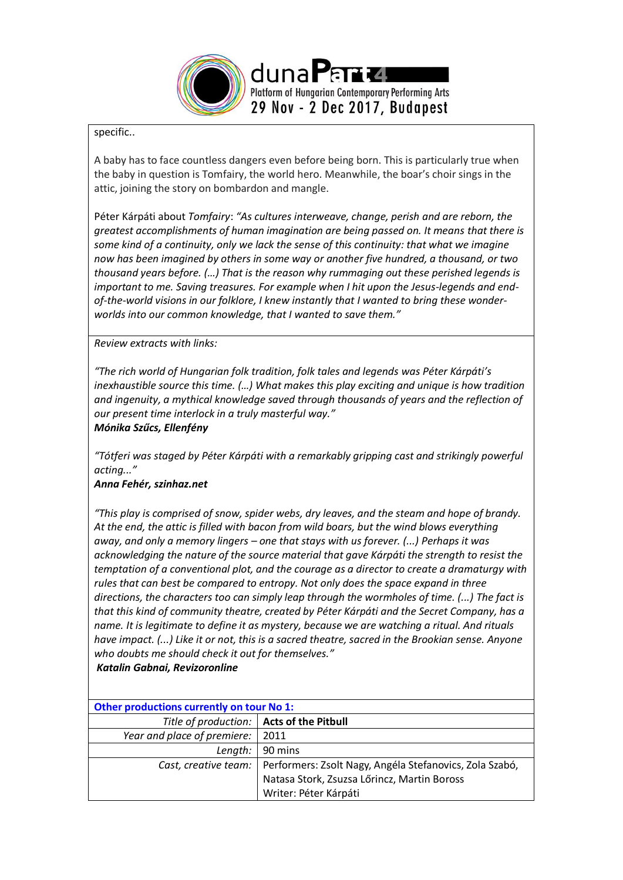

## specific..

A baby has to face countless dangers even before being born. This is particularly true when the baby in question is Tomfairy, the world hero. Meanwhile, the boar's choir sings in the attic, joining the story on bombardon and mangle.

Péter Kárpáti about *Tomfairy*: *"As cultures interweave, change, perish and are reborn, the greatest accomplishments of human imagination are being passed on. It means that there is some kind of a continuity, only we lack the sense of this continuity: that what we imagine now has been imagined by others in some way or another five hundred, a thousand, or two thousand years before. (…) That is the reason why rummaging out these perished legends is important to me. Saving treasures. For example when I hit upon the Jesus-legends and endof-the-world visions in our folklore, I knew instantly that I wanted to bring these wonderworlds into our common knowledge, that I wanted to save them."*

## *Review extracts with links:*

*"The rich world of Hungarian folk tradition, folk tales and legends was Péter Kárpáti's inexhaustible source this time. (…) What makes this play exciting and unique is how tradition and ingenuity, a mythical knowledge saved through thousands of years and the reflection of our present time interlock in a truly masterful way." Mónika Szűcs, Ellenfény*

*"Tótferi was staged by Péter Kárpáti with a remarkably gripping cast and strikingly powerful acting..."*

## *Anna Fehér, [szinhaz.net](http://szinhaz.net/2017/09/20/feher-anna-4moz-6-24-26/)*

*"This play is comprised of snow, spider webs, dry leaves, and the steam and hope of brandy. At the end, the attic is filled with bacon from wild boars, but the wind blows everything away, and only a memory lingers – one that stays with us forever. (...) Perhaps it was acknowledging the nature of the source material that gave Kárpáti the strength to resist the temptation of a conventional plot, and the courage as a director to create a dramaturgy with rules that can best be compared to entropy. Not only does the space expand in three directions, the characters too can simply leap through the wormholes of time. (...) The fact is that this kind of community theatre, created by Péter Kárpáti and the Secret Company, has a name. It is legitimate to define it as mystery, because we are watching a ritual. And rituals have impact. (...) Like it or not, this is a sacred theatre, sacred in the Brookian sense. Anyone who doubts me should check it out for themselves."*

*Katalin Gabnai, [Revizoronline](http://revizoronline.com/hu/cikk/6813/titkos-tarsulat-totferi-trafo/)*

| <b>Other productions currently on tour No 1:</b> |                                                                                |  |  |
|--------------------------------------------------|--------------------------------------------------------------------------------|--|--|
| Title of production:   Acts of the Pitbull       |                                                                                |  |  |
| Year and place of premiere:                      | 2011                                                                           |  |  |
| Length:                                          | 90 mins                                                                        |  |  |
|                                                  | Cast, creative team:   Performers: Zsolt Nagy, Angéla Stefanovics, Zola Szabó, |  |  |
|                                                  | Natasa Stork, Zsuzsa Lőrincz, Martin Boross                                    |  |  |
|                                                  | Writer: Péter Kárpáti                                                          |  |  |